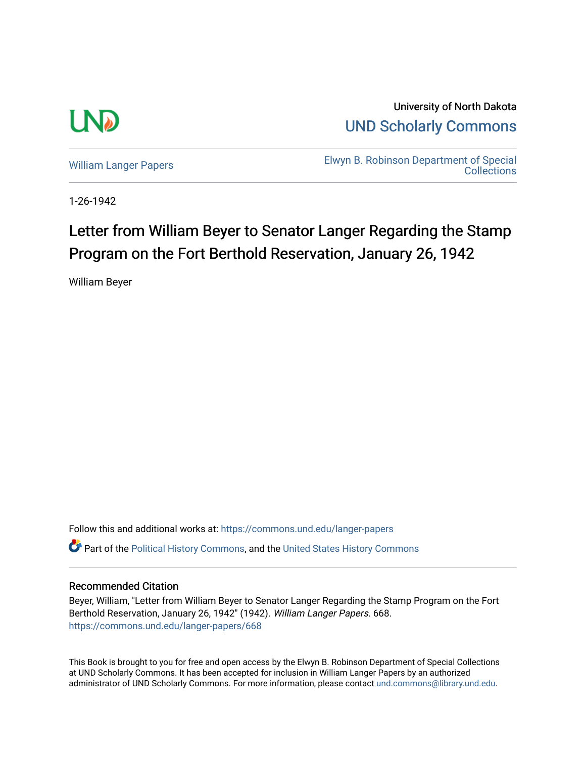

University of North Dakota [UND Scholarly Commons](https://commons.und.edu/) 

[William Langer Papers](https://commons.und.edu/langer-papers) **Elwyn B. Robinson Department of Special** [Collections](https://commons.und.edu/archives) 

1-26-1942

## Letter from William Beyer to Senator Langer Regarding the Stamp Program on the Fort Berthold Reservation, January 26, 1942

William Beyer

Follow this and additional works at: [https://commons.und.edu/langer-papers](https://commons.und.edu/langer-papers?utm_source=commons.und.edu%2Flanger-papers%2F668&utm_medium=PDF&utm_campaign=PDFCoverPages)  **C** Part of the [Political History Commons,](https://network.bepress.com/hgg/discipline/505?utm_source=commons.und.edu%2Flanger-papers%2F668&utm_medium=PDF&utm_campaign=PDFCoverPages) and the [United States History Commons](https://network.bepress.com/hgg/discipline/495?utm_source=commons.und.edu%2Flanger-papers%2F668&utm_medium=PDF&utm_campaign=PDFCoverPages)

## Recommended Citation

Beyer, William, "Letter from William Beyer to Senator Langer Regarding the Stamp Program on the Fort Berthold Reservation, January 26, 1942" (1942). William Langer Papers. 668. [https://commons.und.edu/langer-papers/668](https://commons.und.edu/langer-papers/668?utm_source=commons.und.edu%2Flanger-papers%2F668&utm_medium=PDF&utm_campaign=PDFCoverPages) 

This Book is brought to you for free and open access by the Elwyn B. Robinson Department of Special Collections at UND Scholarly Commons. It has been accepted for inclusion in William Langer Papers by an authorized administrator of UND Scholarly Commons. For more information, please contact [und.commons@library.und.edu.](mailto:und.commons@library.und.edu)